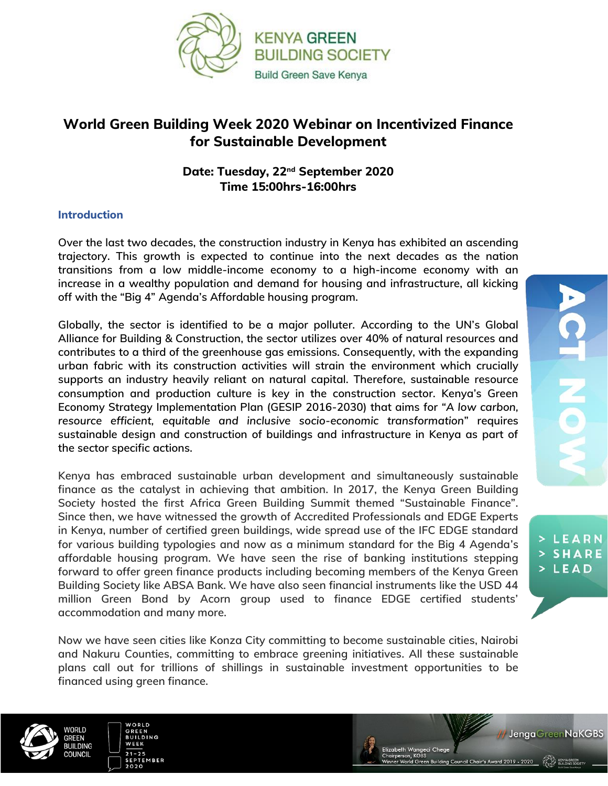

## **World Green Building Week 2020 Webinar on Incentivized Finance for Sustainable Development**

## **Date: Tuesday, 22nd September 2020 Time 15:00hrs-16:00hrs**

## **Introduction**

**Over the last two decades, the construction industry in Kenya has exhibited an ascending trajectory. This growth is expected to continue into the next decades as the nation transitions from a low middle-income economy to a high-income economy with an increase in a wealthy population and demand for housing and infrastructure, all kicking off with the "Big 4" Agenda's Affordable housing program.**

**Globally, the sector is identified to be a major polluter. According to the UN's Global Alliance for Building & Construction, the sector utilizes over 40% of natural resources and contributes to a third of the greenhouse gas emissions. Consequently, with the expanding urban fabric with its construction activities will strain the environment which crucially supports an industry heavily reliant on natural capital. Therefore, sustainable resource consumption and production culture is key in the construction sector. Kenya's Green Economy Strategy Implementation Plan (GESIP 2016-2030) that aims for** *"A low carbon, resource efficient, equitable and inclusive socio-economic transformation***" requires sustainable design and construction of buildings and infrastructure in Kenya as part of the sector specific actions.**

**Kenya has embraced sustainable urban development and simultaneously sustainable finance as the catalyst in achieving that ambition. In 2017, the Kenya Green Building Society hosted the first Africa Green Building Summit themed "Sustainable Finance". Since then, we have witnessed the growth of Accredited Professionals and EDGE Experts in Kenya, number of certified green buildings, wide spread use of the IFC EDGE standard for various building typologies and now as a minimum standard for the Big 4 Agenda's affordable housing program. We have seen the rise of banking institutions stepping forward to offer green finance products including becoming members of the Kenya Green Building Society like ABSA Bank. We have also seen financial instruments like the USD 44 million Green Bond by Acorn group used to finance EDGE certified students' accommodation and many more.** 

**Now we have seen cities like Konza City committing to become sustainable cities, Nairobi and Nakuru Counties, committing to embrace greening initiatives. All these sustainable plans call out for trillions of shillings in sustainable investment opportunities to be financed using green finance.** 



ח וחמו

REFN

**BUILDING OLINGIL** 



**BUILDING** uncil Chair's Award 2019 - 2020

 $\frac{\Omega}{\Gamma}$ 

> LEARN **> SHARE**  $>LEAD$ 

// Jenga GreenNaKGBS